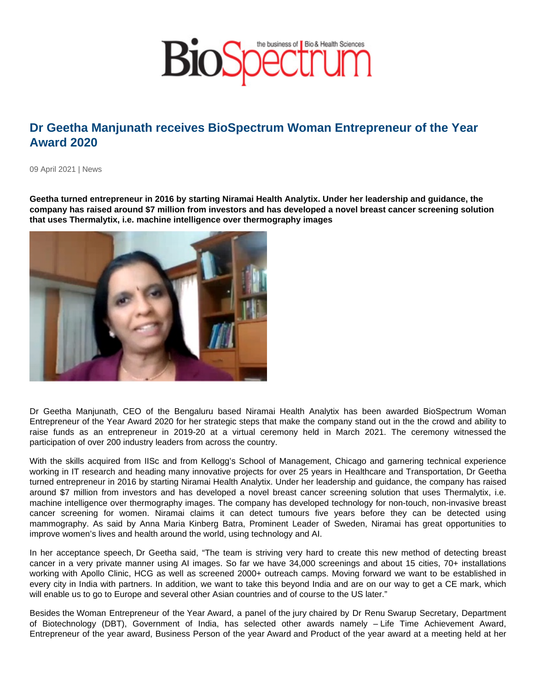## Dr Geetha Manjunath receives BioSpectrum Woman Entrepreneur of the Year Award 2020

09 April 2021 | News

Geetha turned entrepreneur in 2016 by starting Niramai Health Analytix. Under her leadership and guidance, the company has raised around \$7 million from investors and has developed a novel breast cancer screening solution that uses Thermalytix, i.e. machine intelligence over thermography images

Dr Geetha Manjunath, CEO of the Bengaluru based Niramai Health Analytix has been awarded BioSpectrum Woman Entrepreneur of the Year Award 2020 for her strategic steps that make the company stand out in the the crowd and ability to raise funds as an entrepreneur in 2019-20 at a virtual ceremony held in March 2021. The ceremony witnessed the participation of over 200 industry leaders from across the country.

With the skills acquired from IISc and from Kellogg's School of Management, Chicago and garnering technical experience working in IT research and heading many innovative projects for over 25 years in Healthcare and Transportation, Dr Geetha turned entrepreneur in 2016 by starting Niramai Health Analytix. Under her leadership and guidance, the company has raised around \$7 million from investors and has developed a novel breast cancer screening solution that uses Thermalytix, i.e. machine intelligence over thermography images. The company has developed technology for non-touch, non-invasive breast cancer screening for women. Niramai claims it can detect tumours five years before they can be detected using mammography. As said by Anna Maria Kinberg Batra, Prominent Leader of Sweden, Niramai has great opportunities to improve women's lives and health around the world, using technology and AI.

In her acceptance speech, Dr Geetha said, "The team is striving very hard to create this new method of detecting breast cancer in a very private manner using AI images. So far we have 34,000 screenings and about 15 cities, 70+ installations working with Apollo Clinic, HCG as well as screened 2000+ outreach camps. Moving forward we want to be established in every city in India with partners. In addition, we want to take this beyond India and are on our way to get a CE mark, which will enable us to go to Europe and several other Asian countries and of course to the US later."

Besides the Woman Entrepreneur of the Year Award, a panel of the jury chaired by Dr Renu Swarup Secretary, Department of Biotechnology (DBT), Government of India, has selected other awards namely – Life Time Achievement Award, Entrepreneur of the year award, Business Person of the year Award and Product of the year award at a meeting held at her